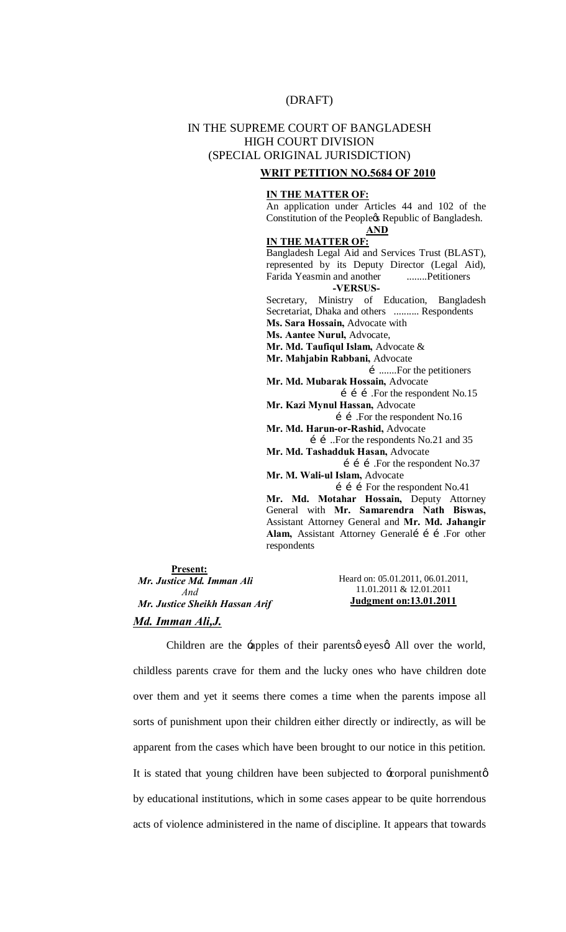# (DRAFT)

# IN THE SUPREME COURT OF BANGLADESH HIGH COURT DIVISION (SPECIAL ORIGINAL JURISDICTION)

#### **WRIT PETITION NO.5684 OF 2010**

#### **IN THE MATTER OF:**

An application under Articles 44 and 102 of the Constitution of the Peoplegs Republic of Bangladesh. **AND**

#### **IN THE MATTER OF:**

Bangladesh Legal Aid and Services Trust (BLAST), represented by its Deputy Director (Legal Aid), Farida Yeasmin and another ........Petitioners **-VERSUS-**Secretary, Ministry of Education, Bangladesh Secretariat, Dhaka and others .......... Respondents **Ms. Sara Hossain,** Advocate with **Ms. Aantee Nurul,** Advocate, **Mr. Md. Taufiqul Islam,** Advocate &

**Mr. Mahjabin Rabbani,** Advocate

….......For the petitioners **Mr. Md. Mubarak Hossain,** Advocate

**1 1 i . For the respondent No.15 Mr. Kazi Mynul Hassan,** Advocate

 …….For the respondent No.16 **Mr. Md. Harun-or-Rashid,** Advocate

……..For the respondents No.21 and 35 **Mr. Md. Tashadduk Hasan,** Advocate

**i i .** For the respondent No.37 **Mr. M. Wali-ul Islam,** Advocate

 $i$  i f For the respondent No.41

**Mr. Md. Motahar Hossain,** Deputy Attorney General with **Mr. Samarendra Nath Biswas,**  Assistant Attorney General and **Mr. Md. Jahangir**  Alam, Assistant Attorney Generalí í í .For other respondents

**Present:** *Mr. Justice Md. Imman Ali And Mr. Justice Sheikh Hassan Arif Md. Imman Ali,J.*

Heard on: 05.01.2011, 06.01.2011, 11.01.2011 & 12.01.2011 **Judgment on:13.01.2011** 

Children are the -apples of their parents o eyes a All over the world, childless parents crave for them and the lucky ones who have children dote over them and yet it seems there comes a time when the parents impose all sorts of punishment upon their children either directly or indirectly, as will be apparent from the cases which have been brought to our notice in this petition. It is stated that young children have been subjected to  $\pm$ orporal punishmentø by educational institutions, which in some cases appear to be quite horrendous acts of violence administered in the name of discipline. It appears that towards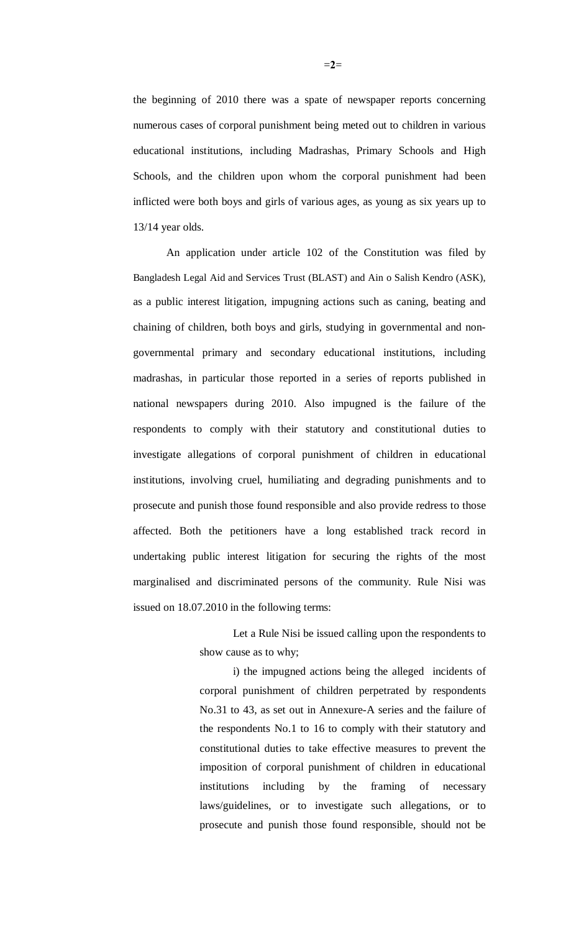the beginning of 2010 there was a spate of newspaper reports concerning numerous cases of corporal punishment being meted out to children in various educational institutions, including Madrashas, Primary Schools and High Schools, and the children upon whom the corporal punishment had been inflicted were both boys and girls of various ages, as young as six years up to 13/14 year olds.

An application under article 102 of the Constitution was filed by Bangladesh Legal Aid and Services Trust (BLAST) and Ain o Salish Kendro (ASK), as a public interest litigation, impugning actions such as caning, beating and chaining of children, both boys and girls, studying in governmental and nongovernmental primary and secondary educational institutions, including madrashas, in particular those reported in a series of reports published in national newspapers during 2010. Also impugned is the failure of the respondents to comply with their statutory and constitutional duties to investigate allegations of corporal punishment of children in educational institutions, involving cruel, humiliating and degrading punishments and to prosecute and punish those found responsible and also provide redress to those affected. Both the petitioners have a long established track record in undertaking public interest litigation for securing the rights of the most marginalised and discriminated persons of the community. Rule Nisi was issued on 18.07.2010 in the following terms:

> Let a Rule Nisi be issued calling upon the respondents to show cause as to why;

> i) the impugned actions being the alleged incidents of corporal punishment of children perpetrated by respondents No.31 to 43, as set out in Annexure-A series and the failure of the respondents No.1 to 16 to comply with their statutory and constitutional duties to take effective measures to prevent the imposition of corporal punishment of children in educational institutions including by the framing of necessary laws/guidelines, or to investigate such allegations, or to prosecute and punish those found responsible, should not be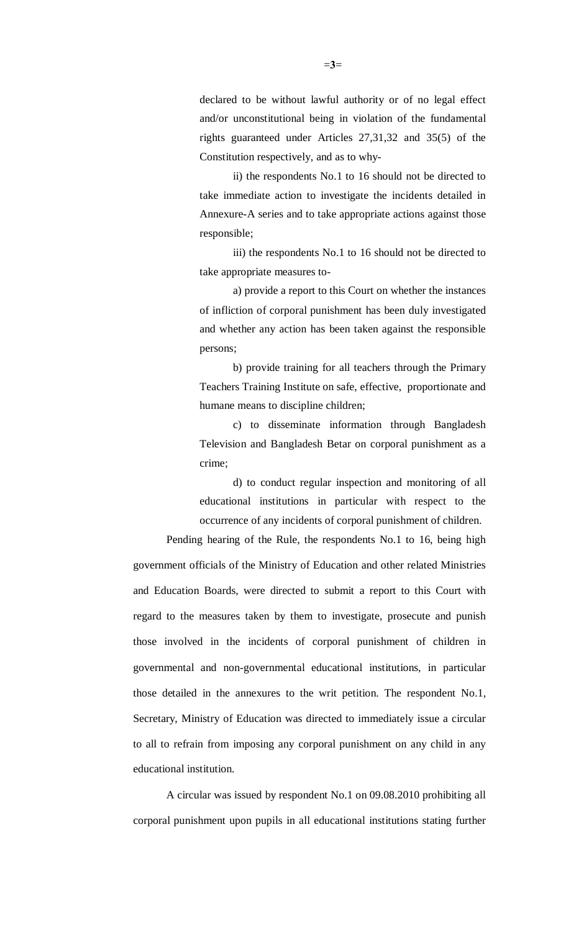declared to be without lawful authority or of no legal effect and/or unconstitutional being in violation of the fundamental rights guaranteed under Articles 27,31,32 and 35(5) of the Constitution respectively, and as to why-

ii) the respondents No.1 to 16 should not be directed to take immediate action to investigate the incidents detailed in Annexure-A series and to take appropriate actions against those responsible;

iii) the respondents No.1 to 16 should not be directed to take appropriate measures to-

a) provide a report to this Court on whether the instances of infliction of corporal punishment has been duly investigated and whether any action has been taken against the responsible persons;

b) provide training for all teachers through the Primary Teachers Training Institute on safe, effective, proportionate and humane means to discipline children;

c) to disseminate information through Bangladesh Television and Bangladesh Betar on corporal punishment as a crime;

d) to conduct regular inspection and monitoring of all educational institutions in particular with respect to the occurrence of any incidents of corporal punishment of children.

Pending hearing of the Rule, the respondents No.1 to 16, being high government officials of the Ministry of Education and other related Ministries and Education Boards, were directed to submit a report to this Court with regard to the measures taken by them to investigate, prosecute and punish those involved in the incidents of corporal punishment of children in governmental and non-governmental educational institutions, in particular those detailed in the annexures to the writ petition. The respondent No.1, Secretary, Ministry of Education was directed to immediately issue a circular to all to refrain from imposing any corporal punishment on any child in any educational institution.

A circular was issued by respondent No.1 on 09.08.2010 prohibiting all corporal punishment upon pupils in all educational institutions stating further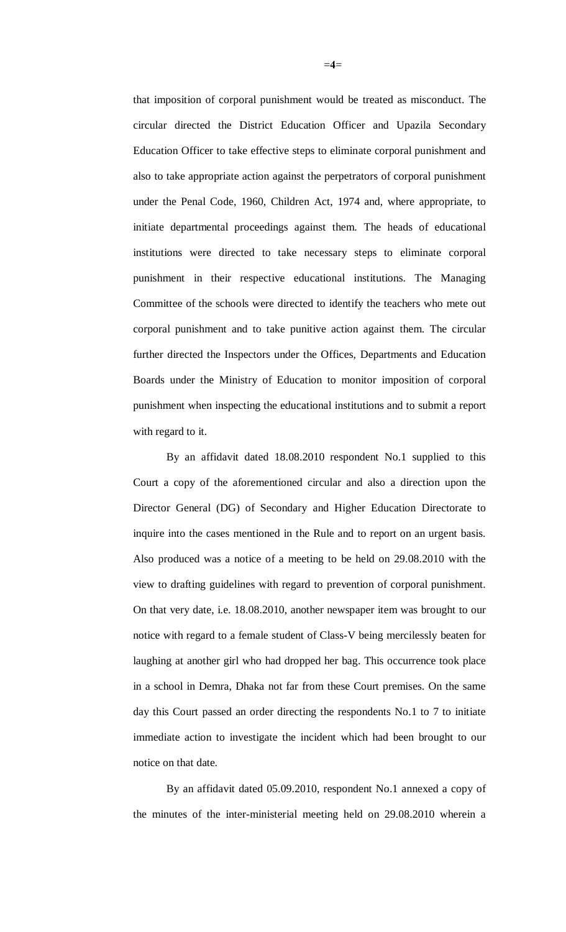that imposition of corporal punishment would be treated as misconduct. The circular directed the District Education Officer and Upazila Secondary Education Officer to take effective steps to eliminate corporal punishment and also to take appropriate action against the perpetrators of corporal punishment under the Penal Code, 1960, Children Act, 1974 and, where appropriate, to initiate departmental proceedings against them. The heads of educational institutions were directed to take necessary steps to eliminate corporal punishment in their respective educational institutions. The Managing Committee of the schools were directed to identify the teachers who mete out corporal punishment and to take punitive action against them. The circular further directed the Inspectors under the Offices, Departments and Education Boards under the Ministry of Education to monitor imposition of corporal punishment when inspecting the educational institutions and to submit a report with regard to it.

By an affidavit dated 18.08.2010 respondent No.1 supplied to this Court a copy of the aforementioned circular and also a direction upon the Director General (DG) of Secondary and Higher Education Directorate to inquire into the cases mentioned in the Rule and to report on an urgent basis. Also produced was a notice of a meeting to be held on 29.08.2010 with the view to drafting guidelines with regard to prevention of corporal punishment. On that very date, i.e. 18.08.2010, another newspaper item was brought to our notice with regard to a female student of Class-V being mercilessly beaten for laughing at another girl who had dropped her bag. This occurrence took place in a school in Demra, Dhaka not far from these Court premises. On the same day this Court passed an order directing the respondents No.1 to 7 to initiate immediate action to investigate the incident which had been brought to our notice on that date.

By an affidavit dated 05.09.2010, respondent No.1 annexed a copy of the minutes of the inter-ministerial meeting held on 29.08.2010 wherein a

 $=4=$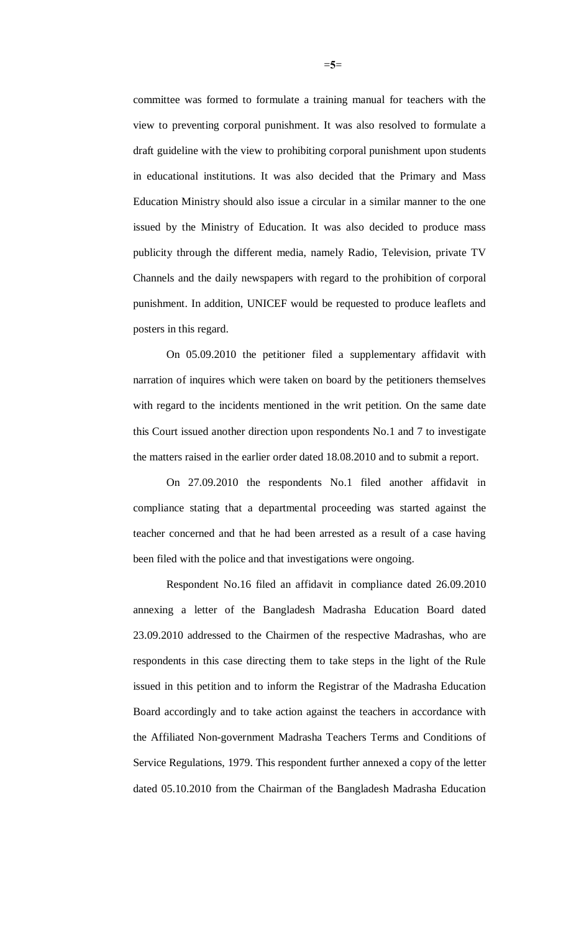committee was formed to formulate a training manual for teachers with the view to preventing corporal punishment. It was also resolved to formulate a draft guideline with the view to prohibiting corporal punishment upon students in educational institutions. It was also decided that the Primary and Mass Education Ministry should also issue a circular in a similar manner to the one issued by the Ministry of Education. It was also decided to produce mass publicity through the different media, namely Radio, Television, private TV Channels and the daily newspapers with regard to the prohibition of corporal punishment. In addition, UNICEF would be requested to produce leaflets and posters in this regard.

On 05.09.2010 the petitioner filed a supplementary affidavit with narration of inquires which were taken on board by the petitioners themselves with regard to the incidents mentioned in the writ petition. On the same date this Court issued another direction upon respondents No.1 and 7 to investigate the matters raised in the earlier order dated 18.08.2010 and to submit a report.

On 27.09.2010 the respondents No.1 filed another affidavit in compliance stating that a departmental proceeding was started against the teacher concerned and that he had been arrested as a result of a case having been filed with the police and that investigations were ongoing.

Respondent No.16 filed an affidavit in compliance dated 26.09.2010 annexing a letter of the Bangladesh Madrasha Education Board dated 23.09.2010 addressed to the Chairmen of the respective Madrashas, who are respondents in this case directing them to take steps in the light of the Rule issued in this petition and to inform the Registrar of the Madrasha Education Board accordingly and to take action against the teachers in accordance with the Affiliated Non-government Madrasha Teachers Terms and Conditions of Service Regulations, 1979. This respondent further annexed a copy of the letter dated 05.10.2010 from the Chairman of the Bangladesh Madrasha Education

=**5**=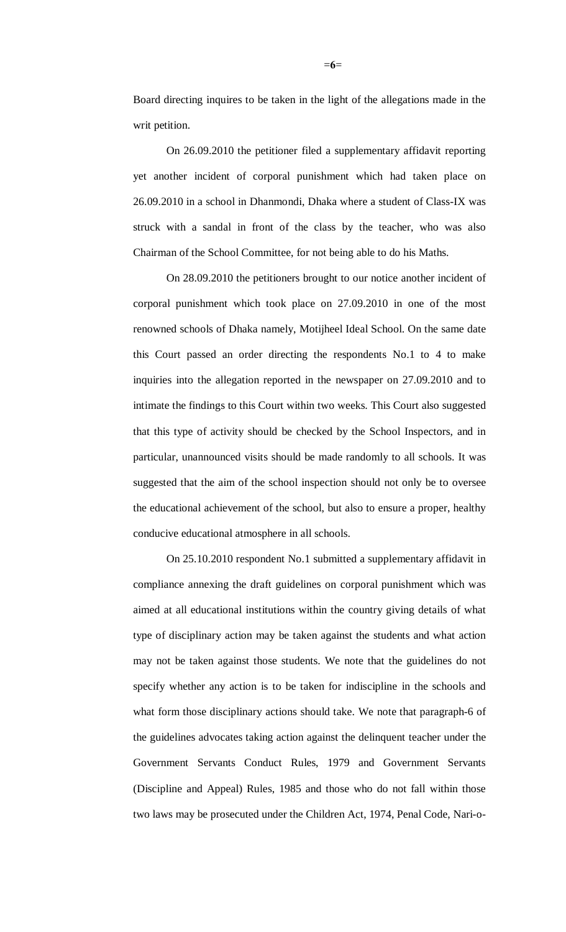Board directing inquires to be taken in the light of the allegations made in the writ petition.

On 26.09.2010 the petitioner filed a supplementary affidavit reporting yet another incident of corporal punishment which had taken place on 26.09.2010 in a school in Dhanmondi, Dhaka where a student of Class-IX was struck with a sandal in front of the class by the teacher, who was also Chairman of the School Committee, for not being able to do his Maths.

On 28.09.2010 the petitioners brought to our notice another incident of corporal punishment which took place on 27.09.2010 in one of the most renowned schools of Dhaka namely, Motijheel Ideal School. On the same date this Court passed an order directing the respondents No.1 to 4 to make inquiries into the allegation reported in the newspaper on 27.09.2010 and to intimate the findings to this Court within two weeks. This Court also suggested that this type of activity should be checked by the School Inspectors, and in particular, unannounced visits should be made randomly to all schools. It was suggested that the aim of the school inspection should not only be to oversee the educational achievement of the school, but also to ensure a proper, healthy conducive educational atmosphere in all schools.

On 25.10.2010 respondent No.1 submitted a supplementary affidavit in compliance annexing the draft guidelines on corporal punishment which was aimed at all educational institutions within the country giving details of what type of disciplinary action may be taken against the students and what action may not be taken against those students. We note that the guidelines do not specify whether any action is to be taken for indiscipline in the schools and what form those disciplinary actions should take. We note that paragraph-6 of the guidelines advocates taking action against the delinquent teacher under the Government Servants Conduct Rules, 1979 and Government Servants (Discipline and Appeal) Rules, 1985 and those who do not fall within those two laws may be prosecuted under the Children Act, 1974, Penal Code, Nari-o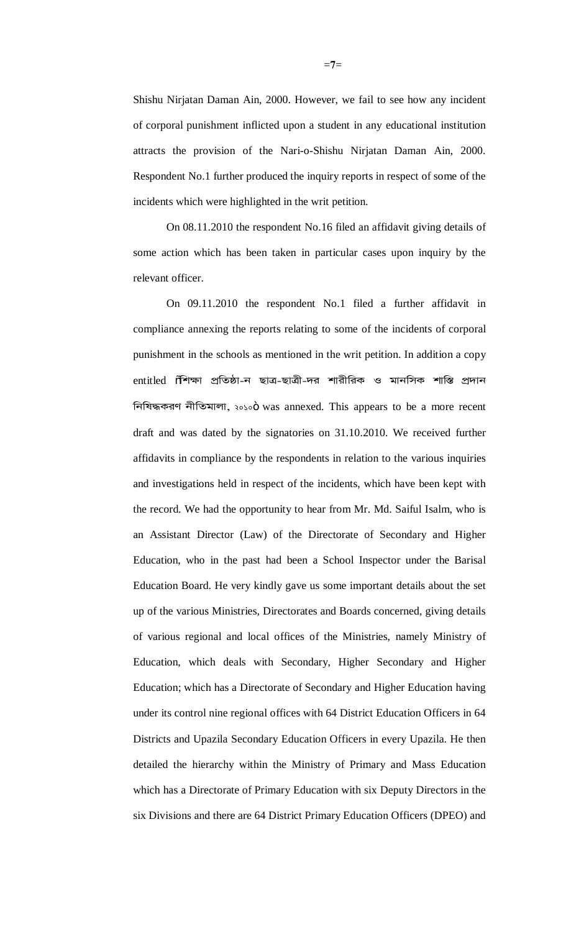Shishu Nirjatan Daman Ain, 2000. However, we fail to see how any incident of corporal punishment inflicted upon a student in any educational institution attracts the provision of the Nari-o-Shishu Nirjatan Daman Ain, 2000. Respondent No.1 further produced the inquiry reports in respect of some of the incidents which were highlighted in the writ petition.

On 08.11.2010 the respondent No.16 filed an affidavit giving details of some action which has been taken in particular cases upon inquiry by the relevant officer.

On 09.11.2010 the respondent No.1 filed a further affidavit in compliance annexing the reports relating to some of the incidents of corporal punishment in the schools as mentioned in the writ petition. In addition a copy entitled  $\widetilde{0}$ শিক্ষা প্ৰতিষ্ঠা-ন ছাত্ৰ-ছাত্ৰী-দর শারীরিক ও মানসিক শাস্তি প্রদান ¢e¢oÜLlZ e£¢aj¡m¡, ২০১০" was annexed. This appears to be a more recent draft and was dated by the signatories on 31.10.2010. We received further affidavits in compliance by the respondents in relation to the various inquiries and investigations held in respect of the incidents, which have been kept with the record. We had the opportunity to hear from Mr. Md. Saiful Isalm, who is an Assistant Director (Law) of the Directorate of Secondary and Higher Education, who in the past had been a School Inspector under the Barisal Education Board. He very kindly gave us some important details about the set up of the various Ministries, Directorates and Boards concerned, giving details of various regional and local offices of the Ministries, namely Ministry of Education, which deals with Secondary, Higher Secondary and Higher Education; which has a Directorate of Secondary and Higher Education having under its control nine regional offices with 64 District Education Officers in 64 Districts and Upazila Secondary Education Officers in every Upazila. He then detailed the hierarchy within the Ministry of Primary and Mass Education which has a Directorate of Primary Education with six Deputy Directors in the six Divisions and there are 64 District Primary Education Officers (DPEO) and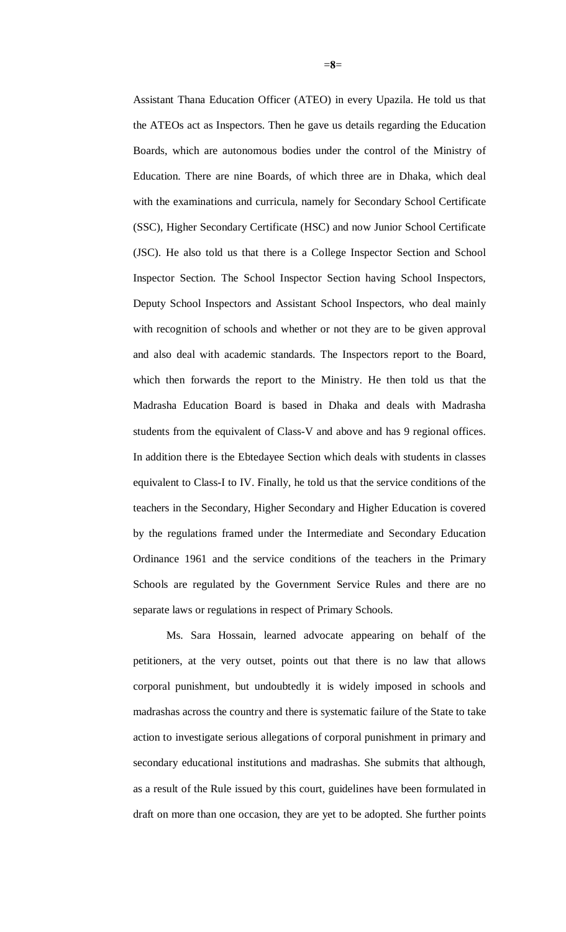Assistant Thana Education Officer (ATEO) in every Upazila. He told us that the ATEOs act as Inspectors. Then he gave us details regarding the Education Boards, which are autonomous bodies under the control of the Ministry of Education. There are nine Boards, of which three are in Dhaka, which deal with the examinations and curricula, namely for Secondary School Certificate (SSC), Higher Secondary Certificate (HSC) and now Junior School Certificate (JSC). He also told us that there is a College Inspector Section and School Inspector Section. The School Inspector Section having School Inspectors, Deputy School Inspectors and Assistant School Inspectors, who deal mainly with recognition of schools and whether or not they are to be given approval and also deal with academic standards. The Inspectors report to the Board, which then forwards the report to the Ministry. He then told us that the Madrasha Education Board is based in Dhaka and deals with Madrasha students from the equivalent of Class-V and above and has 9 regional offices. In addition there is the Ebtedayee Section which deals with students in classes equivalent to Class-I to IV. Finally, he told us that the service conditions of the teachers in the Secondary, Higher Secondary and Higher Education is covered by the regulations framed under the Intermediate and Secondary Education Ordinance 1961 and the service conditions of the teachers in the Primary Schools are regulated by the Government Service Rules and there are no separate laws or regulations in respect of Primary Schools.

Ms. Sara Hossain, learned advocate appearing on behalf of the petitioners, at the very outset, points out that there is no law that allows corporal punishment, but undoubtedly it is widely imposed in schools and madrashas across the country and there is systematic failure of the State to take action to investigate serious allegations of corporal punishment in primary and secondary educational institutions and madrashas. She submits that although, as a result of the Rule issued by this court, guidelines have been formulated in draft on more than one occasion, they are yet to be adopted. She further points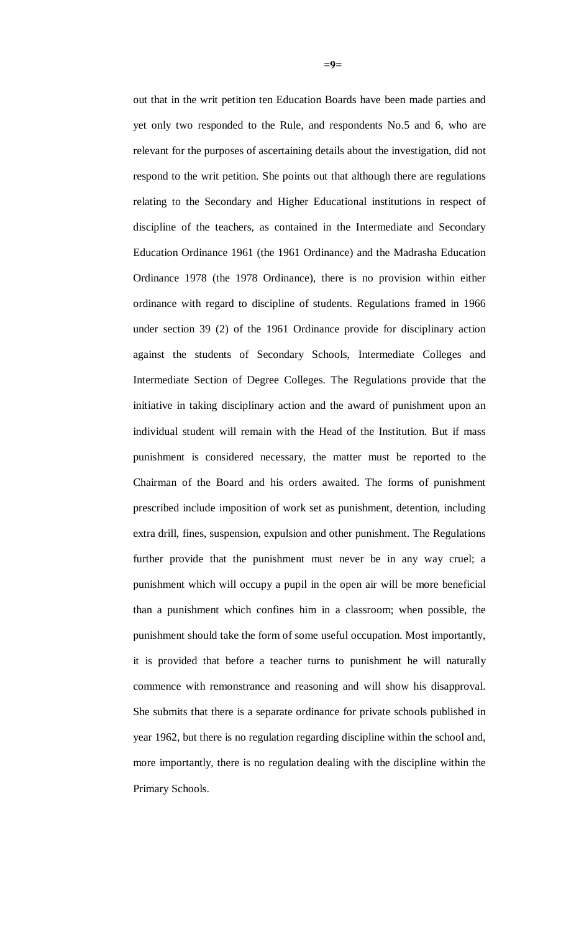out that in the writ petition ten Education Boards have been made parties and yet only two responded to the Rule, and respondents No.5 and 6, who are relevant for the purposes of ascertaining details about the investigation, did not respond to the writ petition. She points out that although there are regulations relating to the Secondary and Higher Educational institutions in respect of discipline of the teachers, as contained in the Intermediate and Secondary Education Ordinance 1961 (the 1961 Ordinance) and the Madrasha Education Ordinance 1978 (the 1978 Ordinance), there is no provision within either ordinance with regard to discipline of students. Regulations framed in 1966 under section 39 (2) of the 1961 Ordinance provide for disciplinary action against the students of Secondary Schools, Intermediate Colleges and Intermediate Section of Degree Colleges. The Regulations provide that the initiative in taking disciplinary action and the award of punishment upon an individual student will remain with the Head of the Institution. But if mass punishment is considered necessary, the matter must be reported to the Chairman of the Board and his orders awaited. The forms of punishment prescribed include imposition of work set as punishment, detention, including extra drill, fines, suspension, expulsion and other punishment. The Regulations further provide that the punishment must never be in any way cruel; a punishment which will occupy a pupil in the open air will be more beneficial than a punishment which confines him in a classroom; when possible, the punishment should take the form of some useful occupation. Most importantly, it is provided that before a teacher turns to punishment he will naturally commence with remonstrance and reasoning and will show his disapproval. She submits that there is a separate ordinance for private schools published in year 1962, but there is no regulation regarding discipline within the school and, more importantly, there is no regulation dealing with the discipline within the Primary Schools.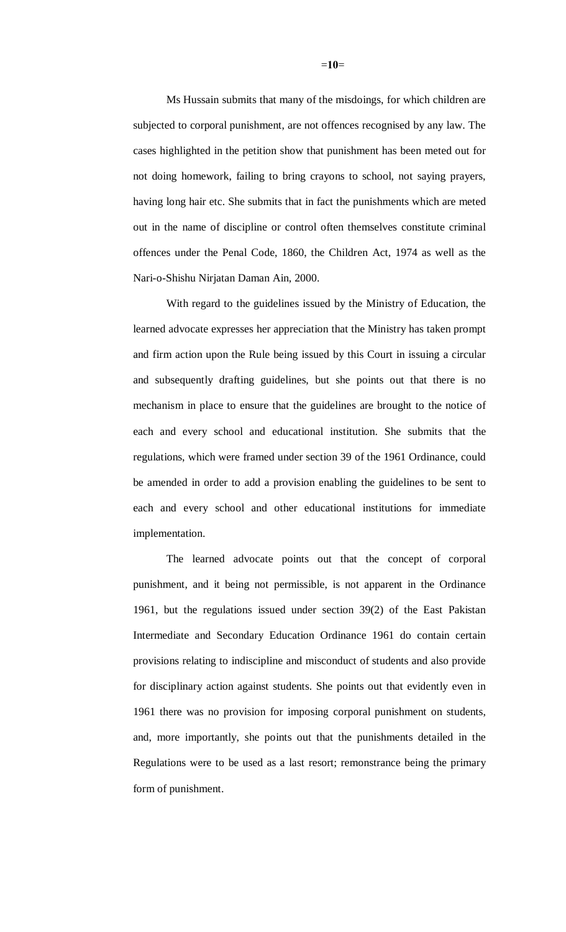Ms Hussain submits that many of the misdoings, for which children are subjected to corporal punishment, are not offences recognised by any law. The cases highlighted in the petition show that punishment has been meted out for not doing homework, failing to bring crayons to school, not saying prayers, having long hair etc. She submits that in fact the punishments which are meted out in the name of discipline or control often themselves constitute criminal offences under the Penal Code, 1860, the Children Act, 1974 as well as the Nari-o-Shishu Nirjatan Daman Ain, 2000.

With regard to the guidelines issued by the Ministry of Education, the learned advocate expresses her appreciation that the Ministry has taken prompt and firm action upon the Rule being issued by this Court in issuing a circular and subsequently drafting guidelines, but she points out that there is no mechanism in place to ensure that the guidelines are brought to the notice of each and every school and educational institution. She submits that the regulations, which were framed under section 39 of the 1961 Ordinance, could be amended in order to add a provision enabling the guidelines to be sent to each and every school and other educational institutions for immediate implementation.

The learned advocate points out that the concept of corporal punishment, and it being not permissible, is not apparent in the Ordinance 1961, but the regulations issued under section 39(2) of the East Pakistan Intermediate and Secondary Education Ordinance 1961 do contain certain provisions relating to indiscipline and misconduct of students and also provide for disciplinary action against students. She points out that evidently even in 1961 there was no provision for imposing corporal punishment on students, and, more importantly, she points out that the punishments detailed in the Regulations were to be used as a last resort; remonstrance being the primary form of punishment.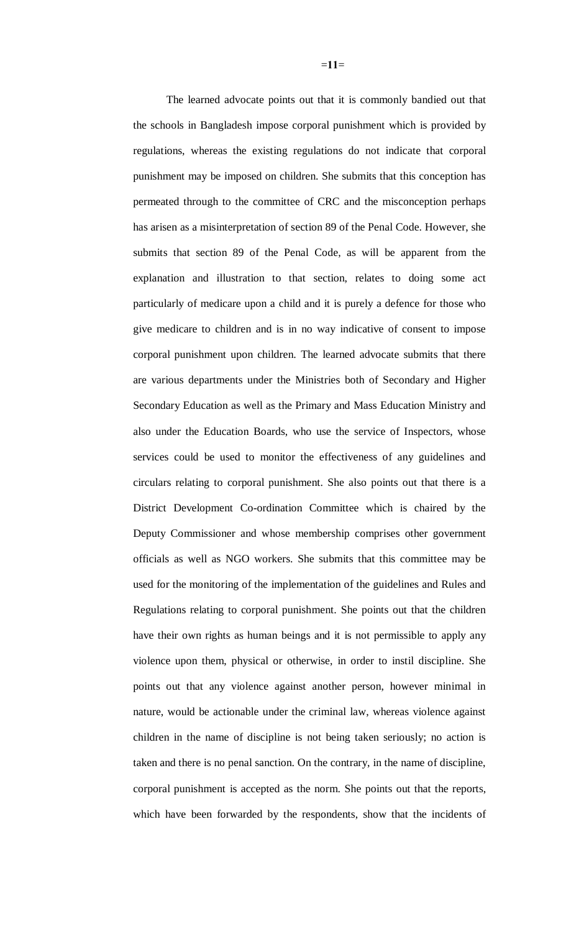The learned advocate points out that it is commonly bandied out that the schools in Bangladesh impose corporal punishment which is provided by regulations, whereas the existing regulations do not indicate that corporal punishment may be imposed on children. She submits that this conception has permeated through to the committee of CRC and the misconception perhaps has arisen as a misinterpretation of section 89 of the Penal Code. However, she submits that section 89 of the Penal Code, as will be apparent from the explanation and illustration to that section, relates to doing some act particularly of medicare upon a child and it is purely a defence for those who give medicare to children and is in no way indicative of consent to impose corporal punishment upon children. The learned advocate submits that there are various departments under the Ministries both of Secondary and Higher Secondary Education as well as the Primary and Mass Education Ministry and also under the Education Boards, who use the service of Inspectors, whose services could be used to monitor the effectiveness of any guidelines and circulars relating to corporal punishment. She also points out that there is a District Development Co-ordination Committee which is chaired by the Deputy Commissioner and whose membership comprises other government officials as well as NGO workers. She submits that this committee may be used for the monitoring of the implementation of the guidelines and Rules and Regulations relating to corporal punishment. She points out that the children have their own rights as human beings and it is not permissible to apply any violence upon them, physical or otherwise, in order to instil discipline. She points out that any violence against another person, however minimal in nature, would be actionable under the criminal law, whereas violence against children in the name of discipline is not being taken seriously; no action is taken and there is no penal sanction. On the contrary, in the name of discipline, corporal punishment is accepted as the norm. She points out that the reports, which have been forwarded by the respondents, show that the incidents of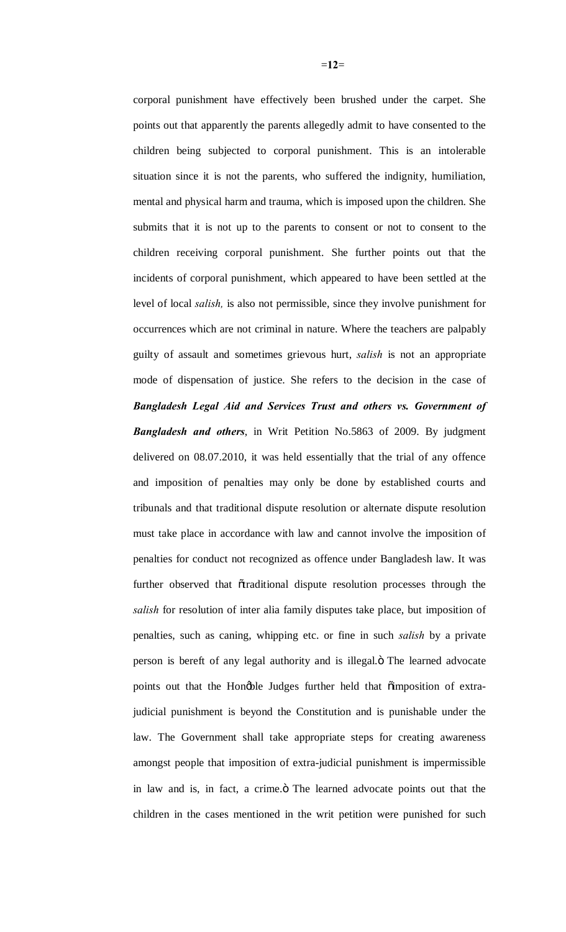corporal punishment have effectively been brushed under the carpet. She points out that apparently the parents allegedly admit to have consented to the children being subjected to corporal punishment. This is an intolerable situation since it is not the parents, who suffered the indignity, humiliation, mental and physical harm and trauma, which is imposed upon the children. She submits that it is not up to the parents to consent or not to consent to the children receiving corporal punishment. She further points out that the incidents of corporal punishment, which appeared to have been settled at the level of local *salish,* is also not permissible, since they involve punishment for occurrences which are not criminal in nature. Where the teachers are palpably guilty of assault and sometimes grievous hurt, *salish* is not an appropriate mode of dispensation of justice. She refers to the decision in the case of *Bangladesh Legal Aid and Services Trust and others vs. Government of Bangladesh and others*, in Writ Petition No.5863 of 2009. By judgment delivered on 08.07.2010, it was held essentially that the trial of any offence and imposition of penalties may only be done by established courts and tribunals and that traditional dispute resolution or alternate dispute resolution must take place in accordance with law and cannot involve the imposition of penalties for conduct not recognized as offence under Bangladesh law. It was further observed that õtraditional dispute resolution processes through the *salish* for resolution of inter alia family disputes take place, but imposition of penalties, such as caning, whipping etc. or fine in such *salish* by a private person is bereft of any legal authority and is illegal. The learned advocate points out that the Hongble Judges further held that  $\tilde{o}$  imposition of extrajudicial punishment is beyond the Constitution and is punishable under the law. The Government shall take appropriate steps for creating awareness amongst people that imposition of extra-judicial punishment is impermissible in law and is, in fact, a crime. The learned advocate points out that the children in the cases mentioned in the writ petition were punished for such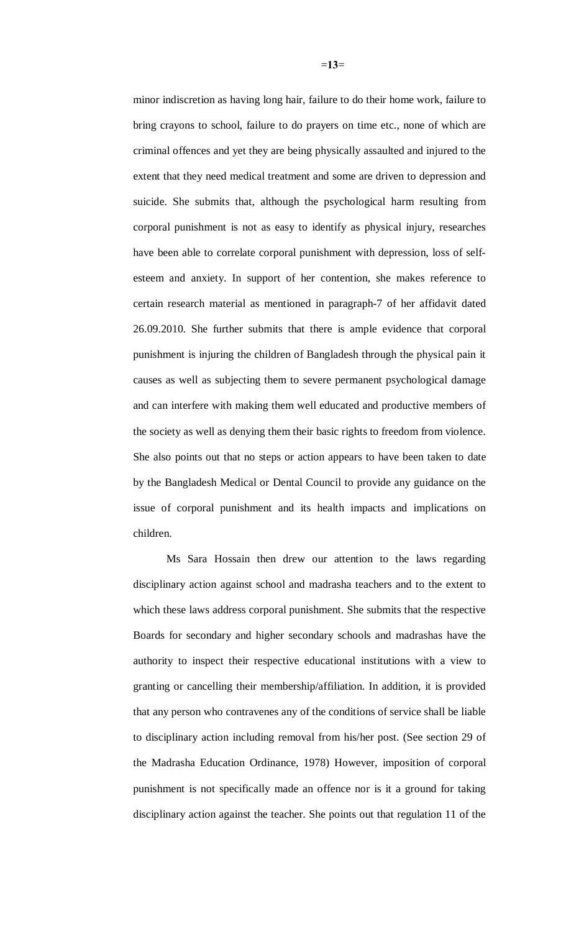minor indiscretion as having long hair, failure to do their home work, failure to bring crayons to school, failure to do prayers on time etc., none of which are criminal offences and yet they are being physically assaulted and injured to the extent that they need medical treatment and some are driven to depression and suicide. She submits that, although the psychological harm resulting from corporal punishment is not as easy to identify as physical injury, researches have been able to correlate corporal punishment with depression, loss of selfesteem and anxiety. In support of her contention, she makes reference to certain research material as mentioned in paragraph-7 of her affidavit dated 26.09.2010. She further submits that there is ample evidence that corporal punishment is injuring the children of Bangladesh through the physical pain it causes as well as subjecting them to severe permanent psychological damage and can interfere with making them well educated and productive members of the society as well as denying them their basic rights to freedom from violence. She also points out that no steps or action appears to have been taken to date by the Bangladesh Medical or Dental Council to provide any guidance on the issue of corporal punishment and its health impacts and implications on children.

Ms Sara Hossain then drew our attention to the laws regarding disciplinary action against school and madrasha teachers and to the extent to which these laws address corporal punishment. She submits that the respective Boards for secondary and higher secondary schools and madrashas have the authority to inspect their respective educational institutions with a view to granting or cancelling their membership/affiliation. In addition, it is provided that any person who contravenes any of the conditions of service shall be liable to disciplinary action including removal from his/her post. (See section 29 of the Madrasha Education Ordinance, 1978) However, imposition of corporal punishment is not specifically made an offence nor is it a ground for taking disciplinary action against the teacher. She points out that regulation 11 of the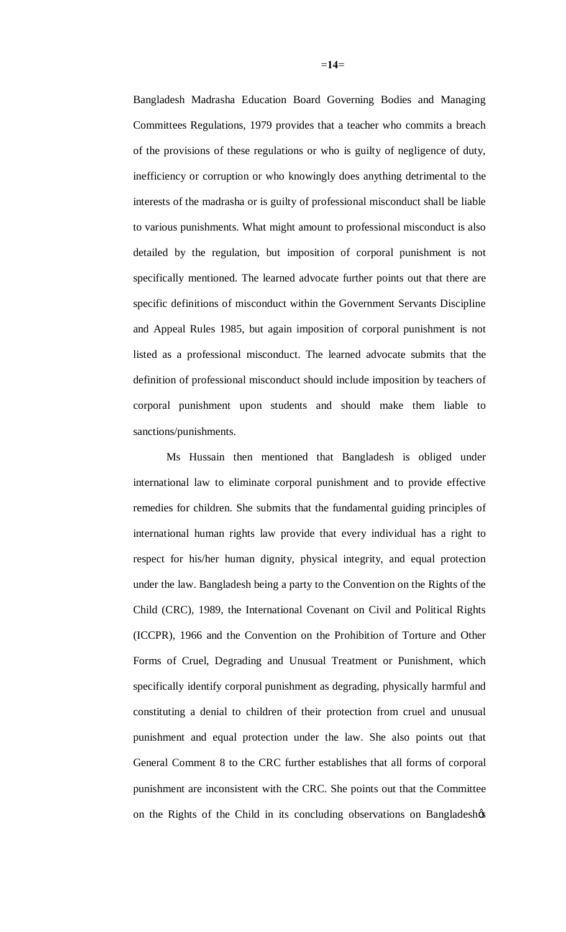Bangladesh Madrasha Education Board Governing Bodies and Managing Committees Regulations, 1979 provides that a teacher who commits a breach of the provisions of these regulations or who is guilty of negligence of duty, inefficiency or corruption or who knowingly does anything detrimental to the interests of the madrasha or is guilty of professional misconduct shall be liable to various punishments. What might amount to professional misconduct is also detailed by the regulation, but imposition of corporal punishment is not specifically mentioned. The learned advocate further points out that there are specific definitions of misconduct within the Government Servants Discipline and Appeal Rules 1985, but again imposition of corporal punishment is not listed as a professional misconduct. The learned advocate submits that the definition of professional misconduct should include imposition by teachers of corporal punishment upon students and should make them liable to sanctions/punishments.

Ms Hussain then mentioned that Bangladesh is obliged under international law to eliminate corporal punishment and to provide effective remedies for children. She submits that the fundamental guiding principles of international human rights law provide that every individual has a right to respect for his/her human dignity, physical integrity, and equal protection under the law. Bangladesh being a party to the Convention on the Rights of the Child (CRC), 1989, the International Covenant on Civil and Political Rights (ICCPR), 1966 and the Convention on the Prohibition of Torture and Other Forms of Cruel, Degrading and Unusual Treatment or Punishment, which specifically identify corporal punishment as degrading, physically harmful and constituting a denial to children of their protection from cruel and unusual punishment and equal protection under the law. She also points out that General Comment 8 to the CRC further establishes that all forms of corporal punishment are inconsistent with the CRC. She points out that the Committee on the Rights of the Child in its concluding observations on Bangladesh $\phi$ s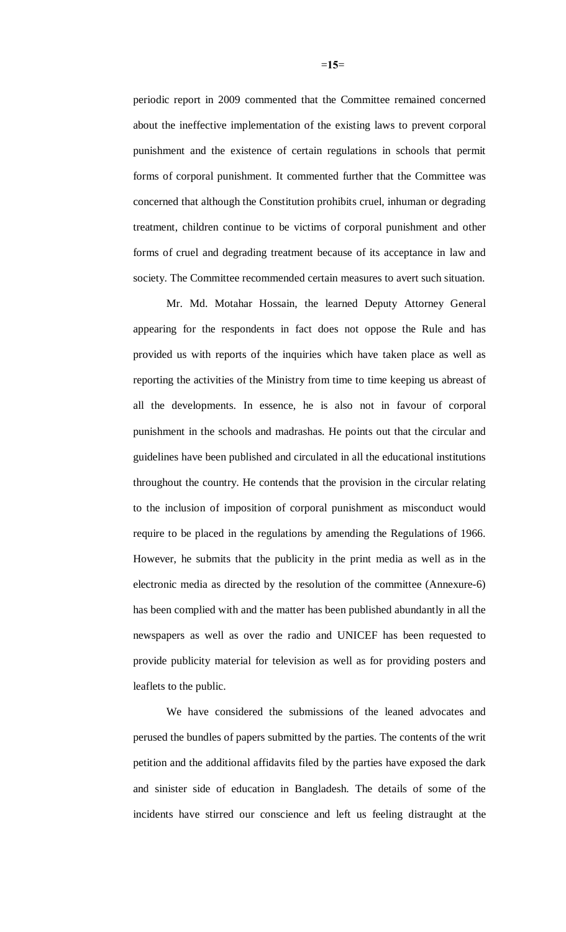periodic report in 2009 commented that the Committee remained concerned about the ineffective implementation of the existing laws to prevent corporal punishment and the existence of certain regulations in schools that permit forms of corporal punishment. It commented further that the Committee was concerned that although the Constitution prohibits cruel, inhuman or degrading treatment, children continue to be victims of corporal punishment and other forms of cruel and degrading treatment because of its acceptance in law and society. The Committee recommended certain measures to avert such situation.

Mr. Md. Motahar Hossain, the learned Deputy Attorney General appearing for the respondents in fact does not oppose the Rule and has provided us with reports of the inquiries which have taken place as well as reporting the activities of the Ministry from time to time keeping us abreast of all the developments. In essence, he is also not in favour of corporal punishment in the schools and madrashas. He points out that the circular and guidelines have been published and circulated in all the educational institutions throughout the country. He contends that the provision in the circular relating to the inclusion of imposition of corporal punishment as misconduct would require to be placed in the regulations by amending the Regulations of 1966. However, he submits that the publicity in the print media as well as in the electronic media as directed by the resolution of the committee (Annexure-6) has been complied with and the matter has been published abundantly in all the newspapers as well as over the radio and UNICEF has been requested to provide publicity material for television as well as for providing posters and leaflets to the public.

We have considered the submissions of the leaned advocates and perused the bundles of papers submitted by the parties. The contents of the writ petition and the additional affidavits filed by the parties have exposed the dark and sinister side of education in Bangladesh. The details of some of the incidents have stirred our conscience and left us feeling distraught at the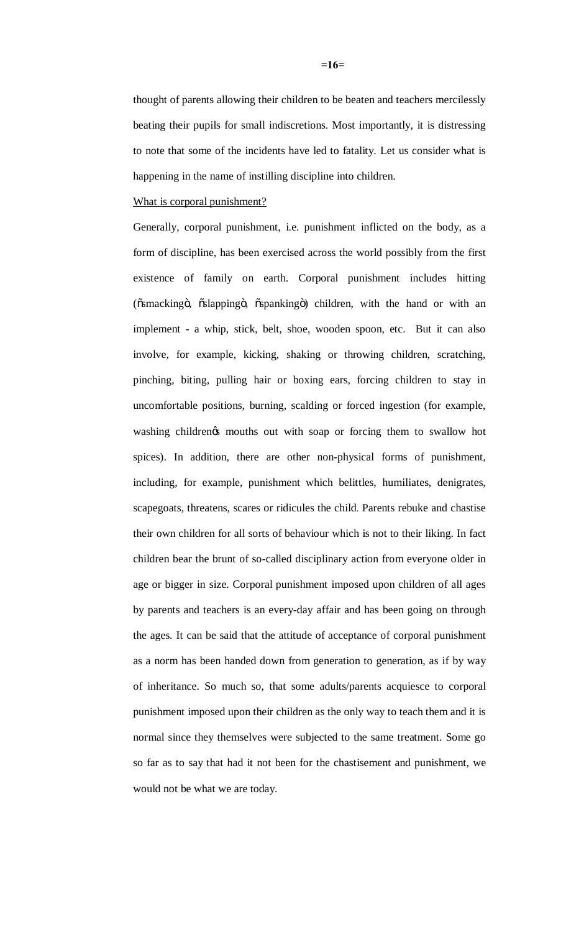thought of parents allowing their children to be beaten and teachers mercilessly beating their pupils for small indiscretions. Most importantly, it is distressing to note that some of the incidents have led to fatality. Let us consider what is happening in the name of instilling discipline into children.

What is corporal punishment?

Generally, corporal punishment, i.e. punishment inflicted on the body, as a form of discipline, has been exercised across the world possibly from the first existence of family on earth. Corporal punishment includes hitting (ösmackingö, öslappingö, öspankingö) children, with the hand or with an implement - a whip, stick, belt, shoe, wooden spoon, etc. But it can also involve, for example, kicking, shaking or throwing children, scratching, pinching, biting, pulling hair or boxing ears, forcing children to stay in uncomfortable positions, burning, scalding or forced ingestion (for example, washing children's mouths out with soap or forcing them to swallow hot spices). In addition, there are other non-physical forms of punishment, including, for example, punishment which belittles, humiliates, denigrates, scapegoats, threatens, scares or ridicules the child. Parents rebuke and chastise their own children for all sorts of behaviour which is not to their liking. In fact children bear the brunt of so-called disciplinary action from everyone older in age or bigger in size. Corporal punishment imposed upon children of all ages by parents and teachers is an every-day affair and has been going on through the ages. It can be said that the attitude of acceptance of corporal punishment as a norm has been handed down from generation to generation, as if by way of inheritance. So much so, that some adults/parents acquiesce to corporal punishment imposed upon their children as the only way to teach them and it is normal since they themselves were subjected to the same treatment. Some go so far as to say that had it not been for the chastisement and punishment, we would not be what we are today.

=**16**=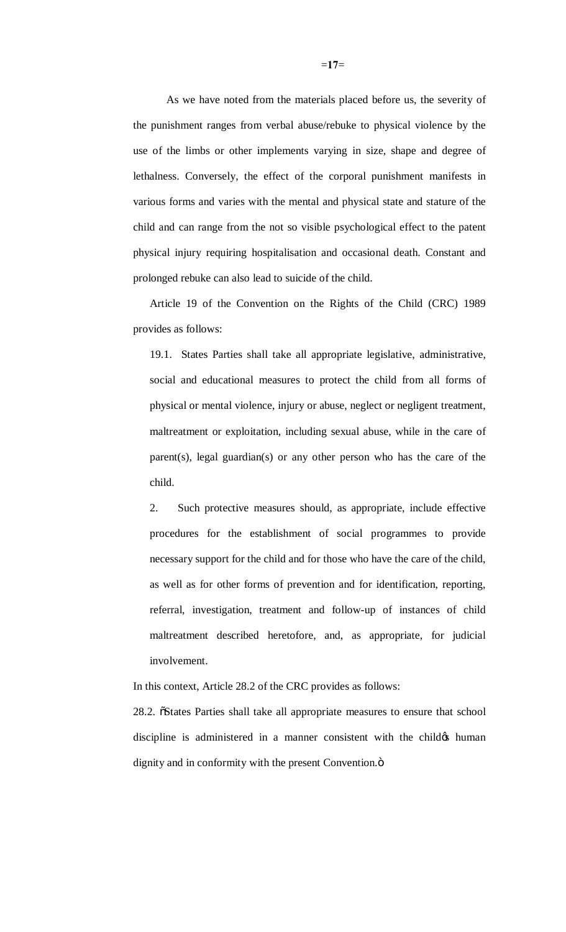As we have noted from the materials placed before us, the severity of the punishment ranges from verbal abuse/rebuke to physical violence by the use of the limbs or other implements varying in size, shape and degree of lethalness. Conversely, the effect of the corporal punishment manifests in various forms and varies with the mental and physical state and stature of the child and can range from the not so visible psychological effect to the patent physical injury requiring hospitalisation and occasional death. Constant and prolonged rebuke can also lead to suicide of the child.

Article 19 of the Convention on the Rights of the Child (CRC) 1989 provides as follows:

19.1. States Parties shall take all appropriate legislative, administrative, social and educational measures to protect the child from all forms of physical or mental violence, injury or abuse, neglect or negligent treatment, maltreatment or exploitation, including sexual abuse, while in the care of parent(s), legal guardian(s) or any other person who has the care of the child.

2. Such protective measures should, as appropriate, include effective procedures for the establishment of social programmes to provide necessary support for the child and for those who have the care of the child, as well as for other forms of prevention and for identification, reporting, referral, investigation, treatment and follow-up of instances of child maltreatment described heretofore, and, as appropriate, for judicial involvement.

In this context, Article 28.2 of the CRC provides as follows:

28.2.  $\delta$ States Parties shall take all appropriate measures to ensure that school discipline is administered in a manner consistent with the child the human dignity and in conformity with the present Convention. $\ddot{o}$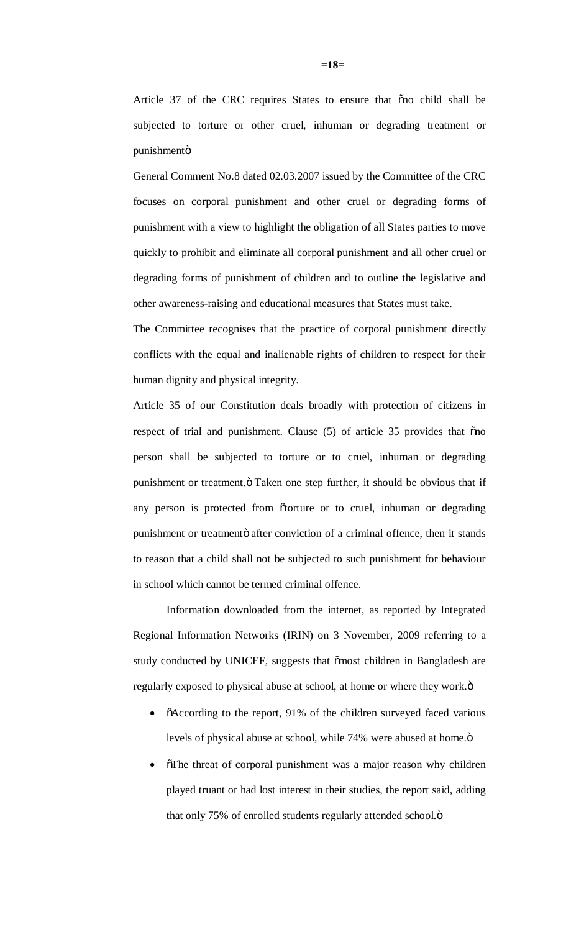Article 37 of the CRC requires States to ensure that ono child shall be subjected to torture or other cruel, inhuman or degrading treatment or punishmentö

General Comment No.8 dated 02.03.2007 issued by the Committee of the CRC focuses on corporal punishment and other cruel or degrading forms of punishment with a view to highlight the obligation of all States parties to move quickly to prohibit and eliminate all corporal punishment and all other cruel or degrading forms of punishment of children and to outline the legislative and other awareness-raising and educational measures that States must take.

The Committee recognises that the practice of corporal punishment directly conflicts with the equal and inalienable rights of children to respect for their human dignity and physical integrity.

Article 35 of our Constitution deals broadly with protection of citizens in respect of trial and punishment. Clause  $(5)$  of article 35 provides that  $\tilde{p}$  on person shall be subjected to torture or to cruel, inhuman or degrading punishment or treatment. " Taken one step further, it should be obvious that if any person is protected from õtorture or to cruel, inhuman or degrading punishment or treatmentö after conviction of a criminal offence, then it stands to reason that a child shall not be subjected to such punishment for behaviour in school which cannot be termed criminal offence.

Information downloaded from the internet, as reported by Integrated Regional Information Networks (IRIN) on 3 November, 2009 referring to a study conducted by UNICEF, suggests that  $\tilde{\text{om}}$  children in Bangladesh are regularly exposed to physical abuse at school, at home or where they work. $\ddot{o}$ 

- õAccording to the report, 91% of the children surveyed faced various levels of physical abuse at school, while 74% were abused at home. $\ddot{o}$
- The threat of corporal punishment was a major reason why children played truant or had lost interest in their studies, the report said, adding that only 75% of enrolled students regularly attended school. $\ddot{o}$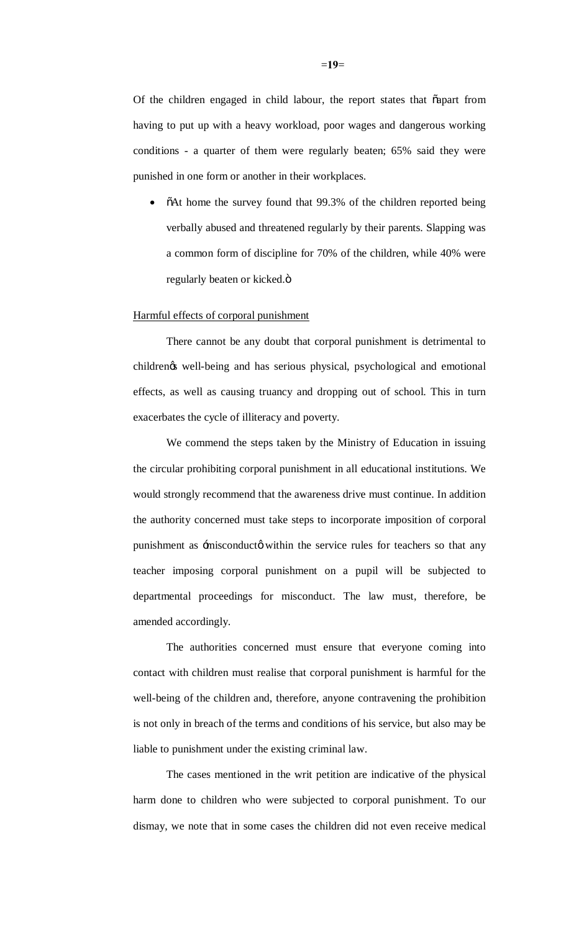Of the children engaged in child labour, the report states that  $\tilde{c}$  apart from having to put up with a heavy workload, poor wages and dangerous working conditions - a quarter of them were regularly beaten; 65% said they were punished in one form or another in their workplaces.

•  $\delta$ At home the survey found that 99.3% of the children reported being verbally abused and threatened regularly by their parents. Slapping was a common form of discipline for 70% of the children, while 40% were regularly beaten or kicked. $\ddot{\text{o}}$ 

#### Harmful effects of corporal punishment

There cannot be any doubt that corporal punishment is detrimental to children's well-being and has serious physical, psychological and emotional effects, as well as causing truancy and dropping out of school. This in turn exacerbates the cycle of illiteracy and poverty.

We commend the steps taken by the Ministry of Education in issuing the circular prohibiting corporal punishment in all educational institutions. We would strongly recommend that the awareness drive must continue. In addition the authority concerned must take steps to incorporate imposition of corporal punishment as  $\pm$ misconductø within the service rules for teachers so that any teacher imposing corporal punishment on a pupil will be subjected to departmental proceedings for misconduct. The law must, therefore, be amended accordingly.

The authorities concerned must ensure that everyone coming into contact with children must realise that corporal punishment is harmful for the well-being of the children and, therefore, anyone contravening the prohibition is not only in breach of the terms and conditions of his service, but also may be liable to punishment under the existing criminal law.

The cases mentioned in the writ petition are indicative of the physical harm done to children who were subjected to corporal punishment. To our dismay, we note that in some cases the children did not even receive medical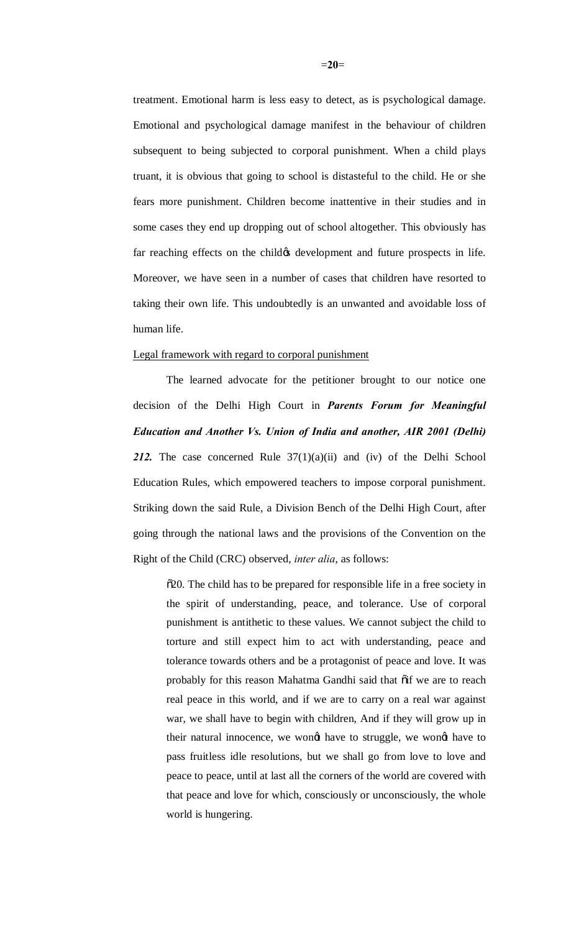treatment. Emotional harm is less easy to detect, as is psychological damage. Emotional and psychological damage manifest in the behaviour of children subsequent to being subjected to corporal punishment. When a child plays truant, it is obvious that going to school is distasteful to the child. He or she fears more punishment. Children become inattentive in their studies and in some cases they end up dropping out of school altogether. This obviously has far reaching effects on the child *o* development and future prospects in life. Moreover, we have seen in a number of cases that children have resorted to taking their own life. This undoubtedly is an unwanted and avoidable loss of human life.

#### Legal framework with regard to corporal punishment

The learned advocate for the petitioner brought to our notice one decision of the Delhi High Court in *Parents Forum for Meaningful Education and Another Vs. Union of India and another, AIR 2001 (Delhi) 212.* The case concerned Rule 37(1)(a)(ii) and (iv) of the Delhi School Education Rules, which empowered teachers to impose corporal punishment. Striking down the said Rule, a Division Bench of the Delhi High Court, after going through the national laws and the provisions of the Convention on the Right of the Child (CRC) observed, *inter alia*, as follows:

"20. The child has to be prepared for responsible life in a free society in the spirit of understanding, peace, and tolerance. Use of corporal punishment is antithetic to these values. We cannot subject the child to torture and still expect him to act with understanding, peace and tolerance towards others and be a protagonist of peace and love. It was probably for this reason Mahatma Gandhi said that  $\tilde{o}$  if we are to reach real peace in this world, and if we are to carry on a real war against war, we shall have to begin with children, And if they will grow up in their natural innocence, we wongt have to struggle, we wongt have to pass fruitless idle resolutions, but we shall go from love to love and peace to peace, until at last all the corners of the world are covered with that peace and love for which, consciously or unconsciously, the whole world is hungering.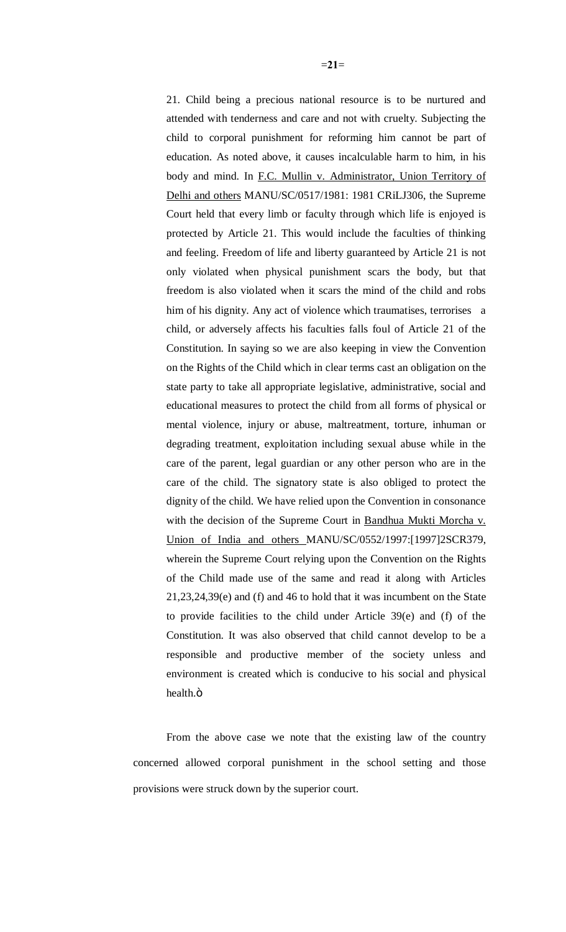21. Child being a precious national resource is to be nurtured and attended with tenderness and care and not with cruelty. Subjecting the child to corporal punishment for reforming him cannot be part of education. As noted above, it causes incalculable harm to him, in his body and mind. In F.C. Mullin v. Administrator, Union Territory of Delhi and others MANU/SC/0517/1981: 1981 CRiLJ306, the Supreme Court held that every limb or faculty through which life is enjoyed is protected by Article 21. This would include the faculties of thinking and feeling. Freedom of life and liberty guaranteed by Article 21 is not only violated when physical punishment scars the body, but that freedom is also violated when it scars the mind of the child and robs him of his dignity. Any act of violence which traumatises, terrorises a child, or adversely affects his faculties falls foul of Article 21 of the Constitution. In saying so we are also keeping in view the Convention on the Rights of the Child which in clear terms cast an obligation on the state party to take all appropriate legislative, administrative, social and educational measures to protect the child from all forms of physical or mental violence, injury or abuse, maltreatment, torture, inhuman or degrading treatment, exploitation including sexual abuse while in the care of the parent, legal guardian or any other person who are in the care of the child. The signatory state is also obliged to protect the dignity of the child. We have relied upon the Convention in consonance with the decision of the Supreme Court in Bandhua Mukti Morcha v. Union of India and others MANU/SC/0552/1997:[1997]2SCR379, wherein the Supreme Court relying upon the Convention on the Rights of the Child made use of the same and read it along with Articles 21,23,24,39(e) and (f) and 46 to hold that it was incumbent on the State to provide facilities to the child under Article 39(e) and (f) of the Constitution. It was also observed that child cannot develop to be a responsible and productive member of the society unless and environment is created which is conducive to his social and physical health. ö

From the above case we note that the existing law of the country concerned allowed corporal punishment in the school setting and those provisions were struck down by the superior court.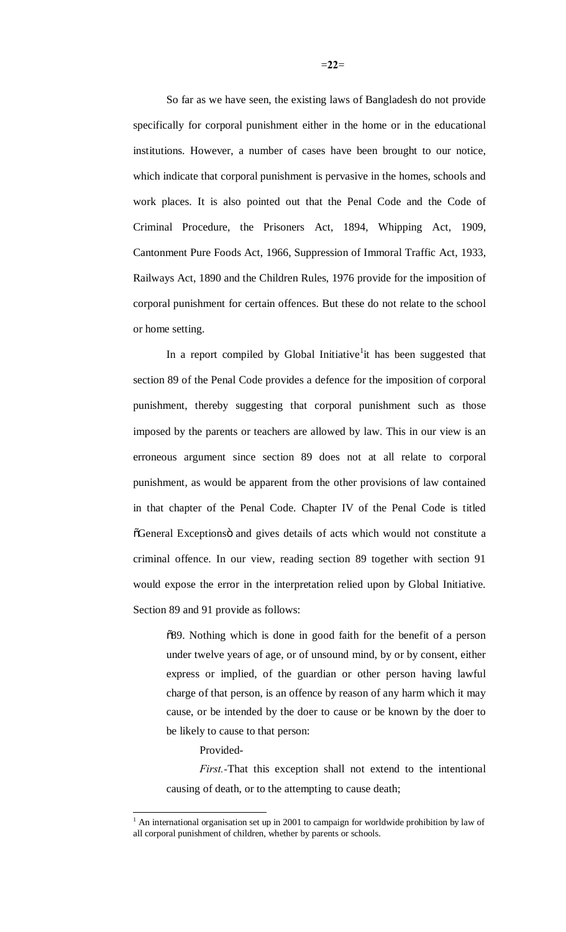So far as we have seen, the existing laws of Bangladesh do not provide specifically for corporal punishment either in the home or in the educational institutions. However, a number of cases have been brought to our notice, which indicate that corporal punishment is pervasive in the homes, schools and work places. It is also pointed out that the Penal Code and the Code of Criminal Procedure, the Prisoners Act, 1894, Whipping Act, 1909, Cantonment Pure Foods Act, 1966, Suppression of Immoral Traffic Act, 1933, Railways Act, 1890 and the Children Rules, 1976 provide for the imposition of corporal punishment for certain offences. But these do not relate to the school or home setting.

In a report compiled by Global Initiative<sup>1</sup> it has been suggested that section 89 of the Penal Code provides a defence for the imposition of corporal punishment, thereby suggesting that corporal punishment such as those imposed by the parents or teachers are allowed by law. This in our view is an erroneous argument since section 89 does not at all relate to corporal punishment, as would be apparent from the other provisions of law contained in that chapter of the Penal Code. Chapter IV of the Penal Code is titled  $\tilde{C}$ General Exceptionsö and gives details of acts which would not constitute a criminal offence. In our view, reading section 89 together with section 91 would expose the error in the interpretation relied upon by Global Initiative. Section 89 and 91 provide as follows:

"89. Nothing which is done in good faith for the benefit of a person under twelve years of age, or of unsound mind, by or by consent, either express or implied, of the guardian or other person having lawful charge of that person, is an offence by reason of any harm which it may cause, or be intended by the doer to cause or be known by the doer to be likely to cause to that person:

#### Provided-

*First.-*That this exception shall not extend to the intentional causing of death, or to the attempting to cause death;

 $<sup>1</sup>$  An international organisation set up in 2001 to campaign for worldwide prohibition by law of</sup> all corporal punishment of children, whether by parents or schools.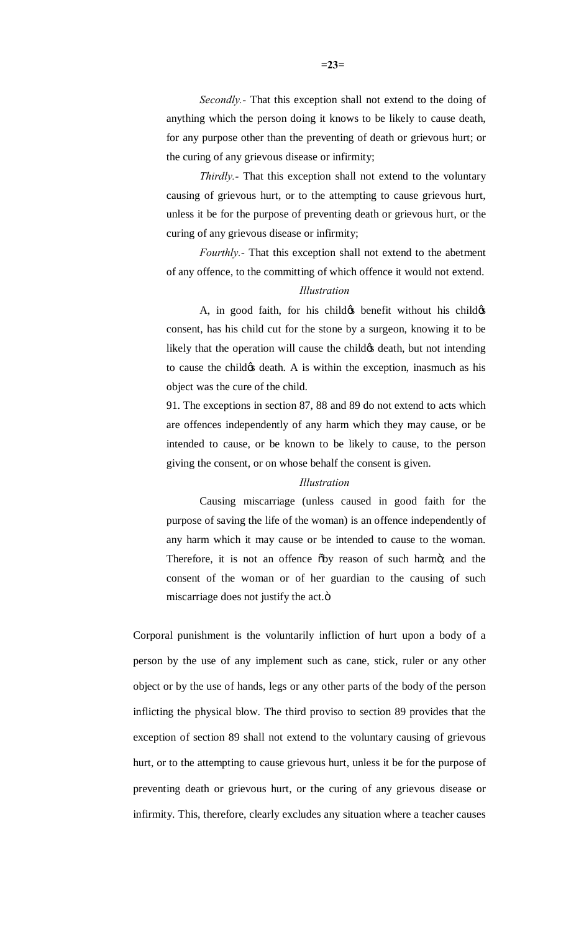*Secondly.-* That this exception shall not extend to the doing of anything which the person doing it knows to be likely to cause death, for any purpose other than the preventing of death or grievous hurt; or the curing of any grievous disease or infirmity;

*Thirdly.-* That this exception shall not extend to the voluntary causing of grievous hurt, or to the attempting to cause grievous hurt, unless it be for the purpose of preventing death or grievous hurt, or the curing of any grievous disease or infirmity;

*Fourthly.-* That this exception shall not extend to the abetment of any offence, to the committing of which offence it would not extend.

## *Illustration*

A, in good faith, for his child the benefit without his child consent, has his child cut for the stone by a surgeon, knowing it to be likely that the operation will cause the child  $\alpha$  death, but not intending to cause the child the death. A is within the exception, inasmuch as his object was the cure of the child.

91. The exceptions in section 87, 88 and 89 do not extend to acts which are offences independently of any harm which they may cause, or be intended to cause, or be known to be likely to cause, to the person giving the consent, or on whose behalf the consent is given.

#### *Illustration*

Causing miscarriage (unless caused in good faith for the purpose of saving the life of the woman) is an offence independently of any harm which it may cause or be intended to cause to the woman. Therefore, it is not an offence  $\delta$ by reason of such harmo; and the consent of the woman or of her guardian to the causing of such miscarriage does not justify the act.ö

Corporal punishment is the voluntarily infliction of hurt upon a body of a person by the use of any implement such as cane, stick, ruler or any other object or by the use of hands, legs or any other parts of the body of the person inflicting the physical blow. The third proviso to section 89 provides that the exception of section 89 shall not extend to the voluntary causing of grievous hurt, or to the attempting to cause grievous hurt, unless it be for the purpose of preventing death or grievous hurt, or the curing of any grievous disease or infirmity. This, therefore, clearly excludes any situation where a teacher causes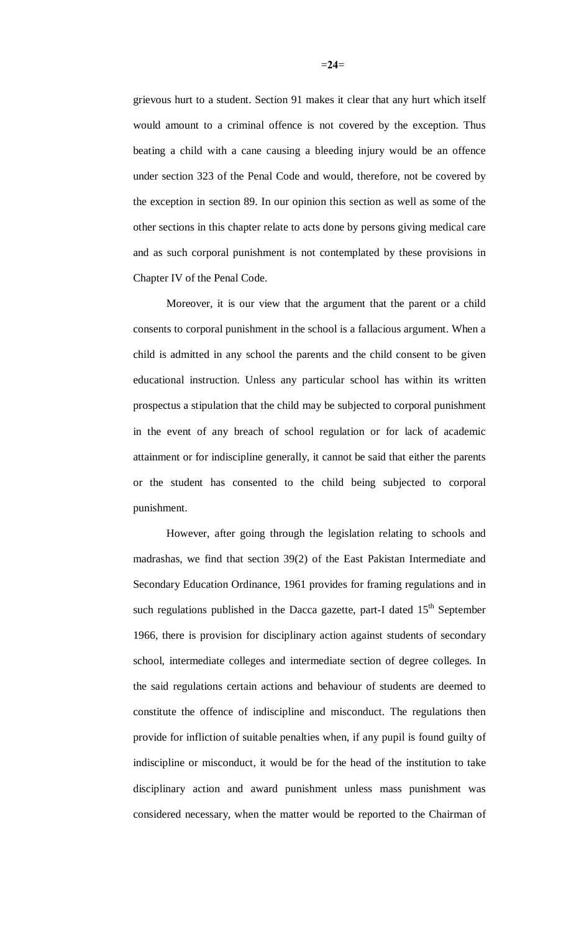grievous hurt to a student. Section 91 makes it clear that any hurt which itself would amount to a criminal offence is not covered by the exception. Thus beating a child with a cane causing a bleeding injury would be an offence under section 323 of the Penal Code and would, therefore, not be covered by the exception in section 89. In our opinion this section as well as some of the other sections in this chapter relate to acts done by persons giving medical care and as such corporal punishment is not contemplated by these provisions in Chapter IV of the Penal Code.

Moreover, it is our view that the argument that the parent or a child consents to corporal punishment in the school is a fallacious argument. When a child is admitted in any school the parents and the child consent to be given educational instruction. Unless any particular school has within its written prospectus a stipulation that the child may be subjected to corporal punishment in the event of any breach of school regulation or for lack of academic attainment or for indiscipline generally, it cannot be said that either the parents or the student has consented to the child being subjected to corporal punishment.

However, after going through the legislation relating to schools and madrashas, we find that section 39(2) of the East Pakistan Intermediate and Secondary Education Ordinance, 1961 provides for framing regulations and in such regulations published in the Dacca gazette, part-I dated  $15<sup>th</sup>$  September 1966, there is provision for disciplinary action against students of secondary school, intermediate colleges and intermediate section of degree colleges. In the said regulations certain actions and behaviour of students are deemed to constitute the offence of indiscipline and misconduct. The regulations then provide for infliction of suitable penalties when, if any pupil is found guilty of indiscipline or misconduct, it would be for the head of the institution to take disciplinary action and award punishment unless mass punishment was considered necessary, when the matter would be reported to the Chairman of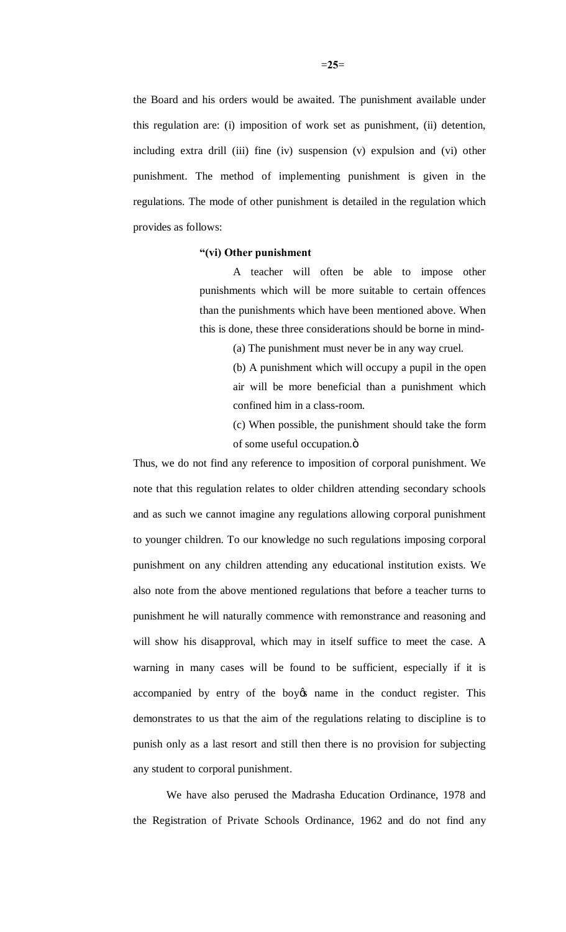the Board and his orders would be awaited. The punishment available under this regulation are: (i) imposition of work set as punishment, (ii) detention, including extra drill (iii) fine (iv) suspension (v) expulsion and (vi) other punishment. The method of implementing punishment is given in the regulations. The mode of other punishment is detailed in the regulation which provides as follows:

## **"(vi) Other punishment**

A teacher will often be able to impose other punishments which will be more suitable to certain offences than the punishments which have been mentioned above. When this is done, these three considerations should be borne in mind-

(a) The punishment must never be in any way cruel.

(b) A punishment which will occupy a pupil in the open air will be more beneficial than a punishment which confined him in a class-room.

(c) When possible, the punishment should take the form of some useful occupation. $\ddot{o}$ 

Thus, we do not find any reference to imposition of corporal punishment. We note that this regulation relates to older children attending secondary schools and as such we cannot imagine any regulations allowing corporal punishment to younger children. To our knowledge no such regulations imposing corporal punishment on any children attending any educational institution exists. We also note from the above mentioned regulations that before a teacher turns to punishment he will naturally commence with remonstrance and reasoning and will show his disapproval, which may in itself suffice to meet the case. A warning in many cases will be found to be sufficient, especially if it is accompanied by entry of the boy the name in the conduct register. This demonstrates to us that the aim of the regulations relating to discipline is to punish only as a last resort and still then there is no provision for subjecting any student to corporal punishment.

We have also perused the Madrasha Education Ordinance, 1978 and the Registration of Private Schools Ordinance, 1962 and do not find any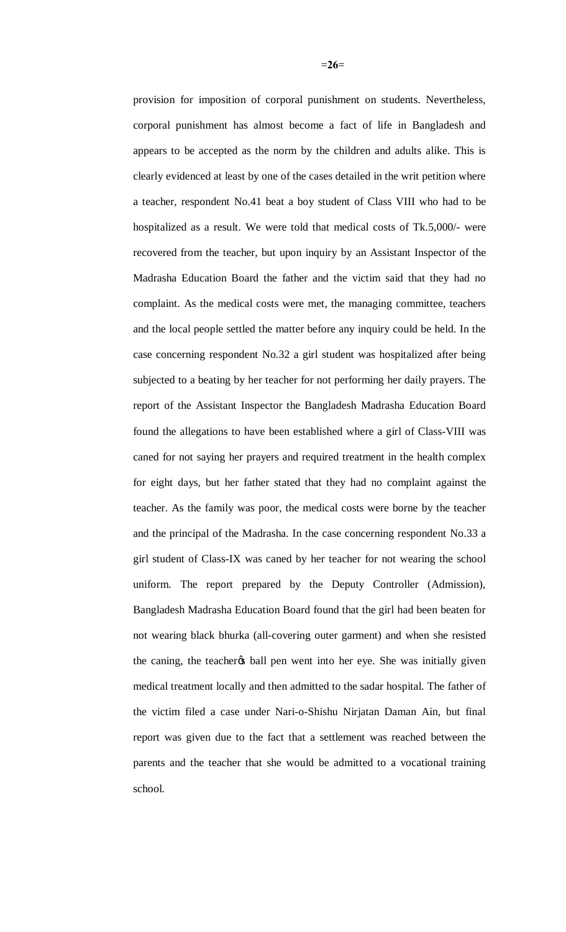provision for imposition of corporal punishment on students. Nevertheless, corporal punishment has almost become a fact of life in Bangladesh and appears to be accepted as the norm by the children and adults alike. This is clearly evidenced at least by one of the cases detailed in the writ petition where a teacher, respondent No.41 beat a boy student of Class VIII who had to be hospitalized as a result. We were told that medical costs of Tk.5,000/- were recovered from the teacher, but upon inquiry by an Assistant Inspector of the Madrasha Education Board the father and the victim said that they had no complaint. As the medical costs were met, the managing committee, teachers and the local people settled the matter before any inquiry could be held. In the case concerning respondent No.32 a girl student was hospitalized after being subjected to a beating by her teacher for not performing her daily prayers. The report of the Assistant Inspector the Bangladesh Madrasha Education Board found the allegations to have been established where a girl of Class-VIII was caned for not saying her prayers and required treatment in the health complex for eight days, but her father stated that they had no complaint against the teacher. As the family was poor, the medical costs were borne by the teacher and the principal of the Madrasha. In the case concerning respondent No.33 a girl student of Class-IX was caned by her teacher for not wearing the school uniform. The report prepared by the Deputy Controller (Admission), Bangladesh Madrasha Education Board found that the girl had been beaten for not wearing black bhurka (all-covering outer garment) and when she resisted the caning, the teacher the ball pen went into her eye. She was initially given medical treatment locally and then admitted to the sadar hospital. The father of the victim filed a case under Nari-o-Shishu Nirjatan Daman Ain, but final report was given due to the fact that a settlement was reached between the parents and the teacher that she would be admitted to a vocational training school.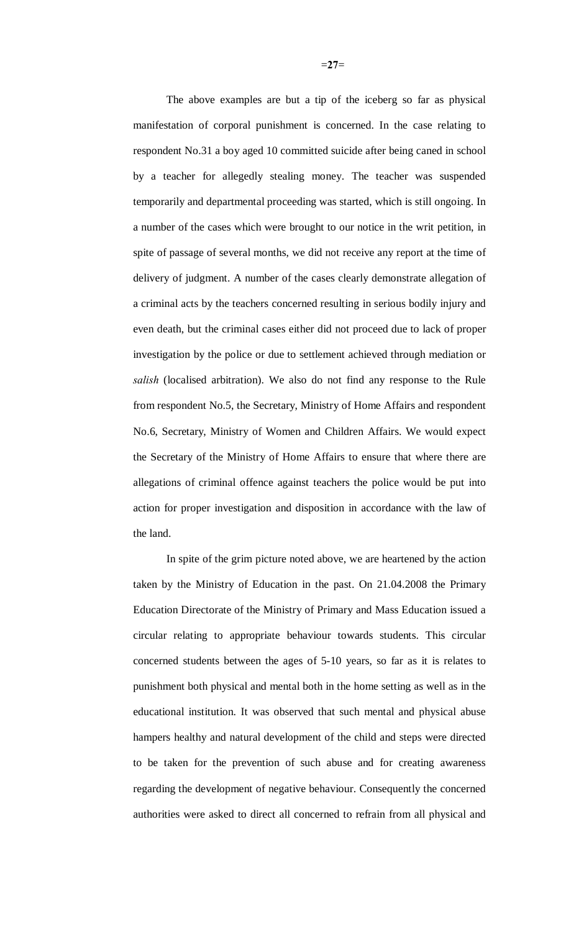The above examples are but a tip of the iceberg so far as physical manifestation of corporal punishment is concerned. In the case relating to respondent No.31 a boy aged 10 committed suicide after being caned in school by a teacher for allegedly stealing money. The teacher was suspended temporarily and departmental proceeding was started, which is still ongoing. In a number of the cases which were brought to our notice in the writ petition, in spite of passage of several months, we did not receive any report at the time of delivery of judgment. A number of the cases clearly demonstrate allegation of a criminal acts by the teachers concerned resulting in serious bodily injury and even death, but the criminal cases either did not proceed due to lack of proper investigation by the police or due to settlement achieved through mediation or *salish* (localised arbitration). We also do not find any response to the Rule from respondent No.5, the Secretary, Ministry of Home Affairs and respondent No.6, Secretary, Ministry of Women and Children Affairs. We would expect the Secretary of the Ministry of Home Affairs to ensure that where there are allegations of criminal offence against teachers the police would be put into action for proper investigation and disposition in accordance with the law of the land.

In spite of the grim picture noted above, we are heartened by the action taken by the Ministry of Education in the past. On 21.04.2008 the Primary Education Directorate of the Ministry of Primary and Mass Education issued a circular relating to appropriate behaviour towards students. This circular concerned students between the ages of 5-10 years, so far as it is relates to punishment both physical and mental both in the home setting as well as in the educational institution. It was observed that such mental and physical abuse hampers healthy and natural development of the child and steps were directed to be taken for the prevention of such abuse and for creating awareness regarding the development of negative behaviour. Consequently the concerned authorities were asked to direct all concerned to refrain from all physical and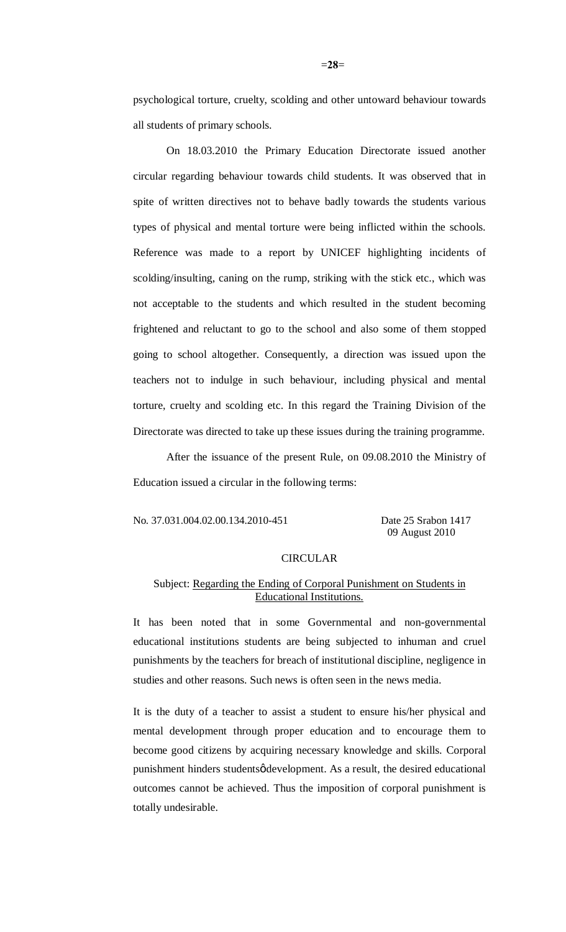psychological torture, cruelty, scolding and other untoward behaviour towards all students of primary schools.

On 18.03.2010 the Primary Education Directorate issued another circular regarding behaviour towards child students. It was observed that in spite of written directives not to behave badly towards the students various types of physical and mental torture were being inflicted within the schools. Reference was made to a report by UNICEF highlighting incidents of scolding/insulting, caning on the rump, striking with the stick etc., which was not acceptable to the students and which resulted in the student becoming frightened and reluctant to go to the school and also some of them stopped going to school altogether. Consequently, a direction was issued upon the teachers not to indulge in such behaviour, including physical and mental torture, cruelty and scolding etc. In this regard the Training Division of the Directorate was directed to take up these issues during the training programme.

After the issuance of the present Rule, on 09.08.2010 the Ministry of Education issued a circular in the following terms:

No. 37.031.004.02.00.134.2010-451 Date 25 Srabon 1417

09 August 2010

## CIRCULAR

## Subject: Regarding the Ending of Corporal Punishment on Students in Educational Institutions.

It has been noted that in some Governmental and non-governmental educational institutions students are being subjected to inhuman and cruel punishments by the teachers for breach of institutional discipline, negligence in studies and other reasons. Such news is often seen in the news media.

It is the duty of a teacher to assist a student to ensure his/her physical and mental development through proper education and to encourage them to become good citizens by acquiring necessary knowledge and skills. Corporal punishment hinders studentsø development. As a result, the desired educational outcomes cannot be achieved. Thus the imposition of corporal punishment is totally undesirable.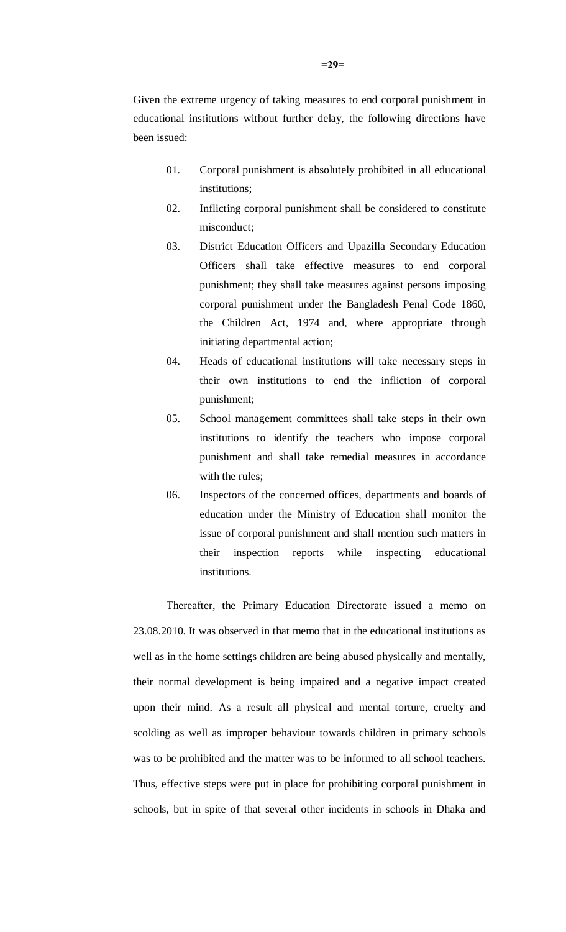Given the extreme urgency of taking measures to end corporal punishment in educational institutions without further delay, the following directions have been issued:

- 01. Corporal punishment is absolutely prohibited in all educational institutions;
- 02. Inflicting corporal punishment shall be considered to constitute misconduct;
- 03. District Education Officers and Upazilla Secondary Education Officers shall take effective measures to end corporal punishment; they shall take measures against persons imposing corporal punishment under the Bangladesh Penal Code 1860, the Children Act, 1974 and, where appropriate through initiating departmental action;
- 04. Heads of educational institutions will take necessary steps in their own institutions to end the infliction of corporal punishment;
- 05. School management committees shall take steps in their own institutions to identify the teachers who impose corporal punishment and shall take remedial measures in accordance with the rules;
- 06. Inspectors of the concerned offices, departments and boards of education under the Ministry of Education shall monitor the issue of corporal punishment and shall mention such matters in their inspection reports while inspecting educational institutions.

Thereafter, the Primary Education Directorate issued a memo on 23.08.2010. It was observed in that memo that in the educational institutions as well as in the home settings children are being abused physically and mentally, their normal development is being impaired and a negative impact created upon their mind. As a result all physical and mental torture, cruelty and scolding as well as improper behaviour towards children in primary schools was to be prohibited and the matter was to be informed to all school teachers. Thus, effective steps were put in place for prohibiting corporal punishment in schools, but in spite of that several other incidents in schools in Dhaka and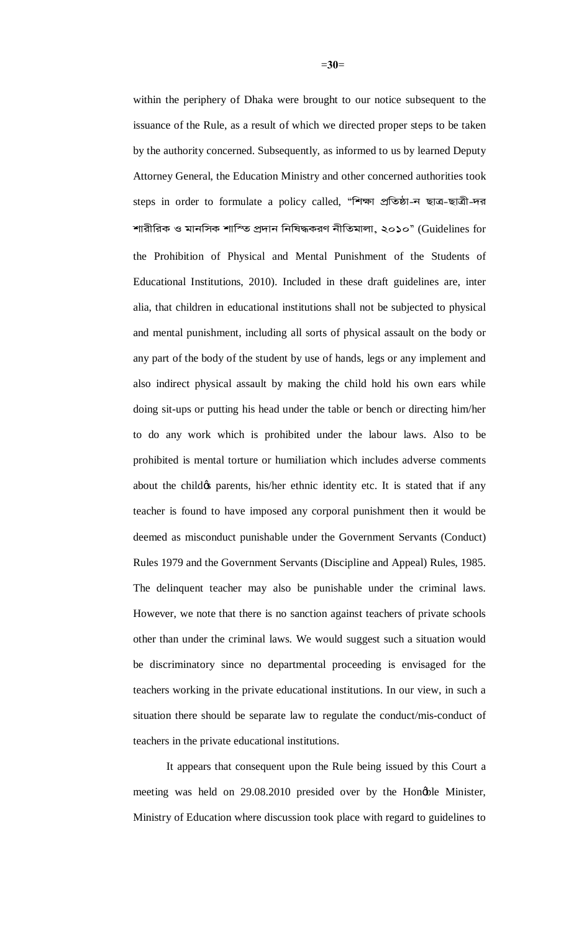within the periphery of Dhaka were brought to our notice subsequent to the issuance of the Rule, as a result of which we directed proper steps to be taken by the authority concerned. Subsequently, as informed to us by learned Deputy Attorney General, the Education Ministry and other concerned authorities took steps in order to formulate a policy called, "শিক্ষা প্ৰতিষ্ঠা-ন ছাত্ৰ-ছাত্ৰী-দর শারীরিক ও মানসিক শাস্তি প্রদান নিষিদ্ধকরণ নীতিমালা, ২০১০" (Guidelines for the Prohibition of Physical and Mental Punishment of the Students of Educational Institutions, 2010). Included in these draft guidelines are, inter alia, that children in educational institutions shall not be subjected to physical and mental punishment, including all sorts of physical assault on the body or any part of the body of the student by use of hands, legs or any implement and also indirect physical assault by making the child hold his own ears while doing sit-ups or putting his head under the table or bench or directing him/her to do any work which is prohibited under the labour laws. Also to be prohibited is mental torture or humiliation which includes adverse comments about the child of parents, his/her ethnic identity etc. It is stated that if any teacher is found to have imposed any corporal punishment then it would be deemed as misconduct punishable under the Government Servants (Conduct) Rules 1979 and the Government Servants (Discipline and Appeal) Rules, 1985. The delinquent teacher may also be punishable under the criminal laws. However, we note that there is no sanction against teachers of private schools other than under the criminal laws. We would suggest such a situation would be discriminatory since no departmental proceeding is envisaged for the teachers working in the private educational institutions. In our view, in such a situation there should be separate law to regulate the conduct/mis-conduct of teachers in the private educational institutions.

It appears that consequent upon the Rule being issued by this Court a meeting was held on 29.08.2010 presided over by the Honøble Minister, Ministry of Education where discussion took place with regard to guidelines to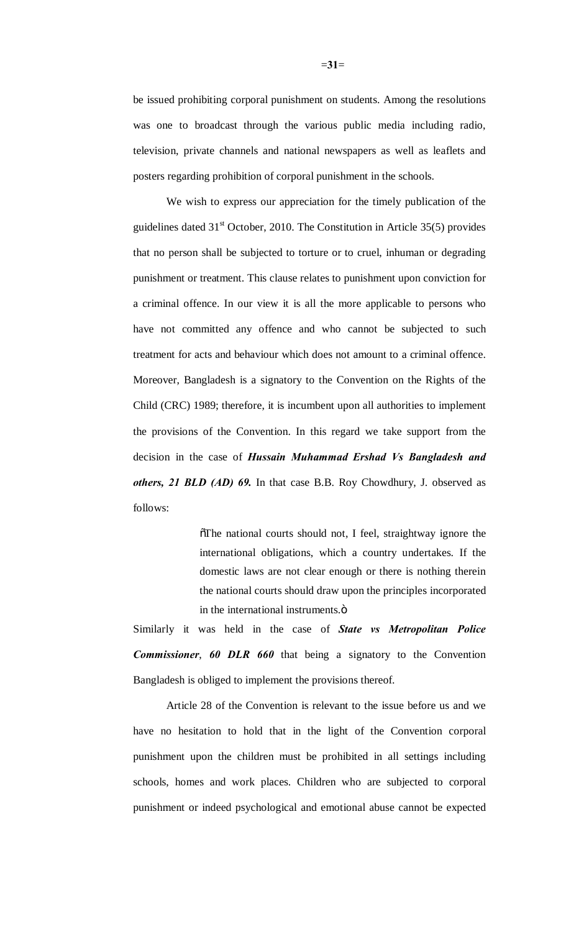be issued prohibiting corporal punishment on students. Among the resolutions was one to broadcast through the various public media including radio, television, private channels and national newspapers as well as leaflets and posters regarding prohibition of corporal punishment in the schools.

We wish to express our appreciation for the timely publication of the guidelines dated  $31<sup>st</sup>$  October, 2010. The Constitution in Article 35(5) provides that no person shall be subjected to torture or to cruel, inhuman or degrading punishment or treatment. This clause relates to punishment upon conviction for a criminal offence. In our view it is all the more applicable to persons who have not committed any offence and who cannot be subjected to such treatment for acts and behaviour which does not amount to a criminal offence. Moreover, Bangladesh is a signatory to the Convention on the Rights of the Child (CRC) 1989; therefore, it is incumbent upon all authorities to implement the provisions of the Convention. In this regard we take support from the decision in the case of *Hussain Muhammad Ershad Vs Bangladesh and others, 21 BLD (AD) 69.* In that case B.B. Roy Chowdhury, J. observed as follows:

> $\delta$ The national courts should not, I feel, straightway ignore the international obligations, which a country undertakes. If the domestic laws are not clear enough or there is nothing therein the national courts should draw upon the principles incorporated in the international instruments. $\ddot{o}$

Similarly it was held in the case of *State vs Metropolitan Police Commissioner*, *60 DLR 660* that being a signatory to the Convention Bangladesh is obliged to implement the provisions thereof.

Article 28 of the Convention is relevant to the issue before us and we have no hesitation to hold that in the light of the Convention corporal punishment upon the children must be prohibited in all settings including schools, homes and work places. Children who are subjected to corporal punishment or indeed psychological and emotional abuse cannot be expected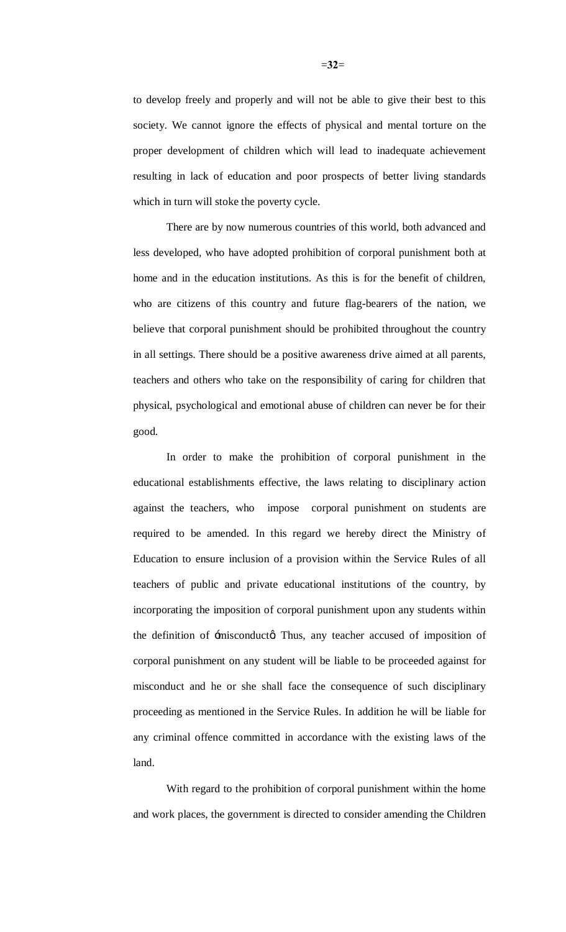to develop freely and properly and will not be able to give their best to this society. We cannot ignore the effects of physical and mental torture on the proper development of children which will lead to inadequate achievement resulting in lack of education and poor prospects of better living standards which in turn will stoke the poverty cycle.

There are by now numerous countries of this world, both advanced and less developed, who have adopted prohibition of corporal punishment both at home and in the education institutions. As this is for the benefit of children, who are citizens of this country and future flag-bearers of the nation, we believe that corporal punishment should be prohibited throughout the country in all settings. There should be a positive awareness drive aimed at all parents, teachers and others who take on the responsibility of caring for children that physical, psychological and emotional abuse of children can never be for their good.

In order to make the prohibition of corporal punishment in the educational establishments effective, the laws relating to disciplinary action against the teachers, who impose corporal punishment on students are required to be amended. In this regard we hereby direct the Ministry of Education to ensure inclusion of a provision within the Service Rules of all teachers of public and private educational institutions of the country, by incorporating the imposition of corporal punishment upon any students within the definition of  $\pm$ misconduct $\alpha$ . Thus, any teacher accused of imposition of corporal punishment on any student will be liable to be proceeded against for misconduct and he or she shall face the consequence of such disciplinary proceeding as mentioned in the Service Rules. In addition he will be liable for any criminal offence committed in accordance with the existing laws of the land.

With regard to the prohibition of corporal punishment within the home and work places, the government is directed to consider amending the Children

=**32**=